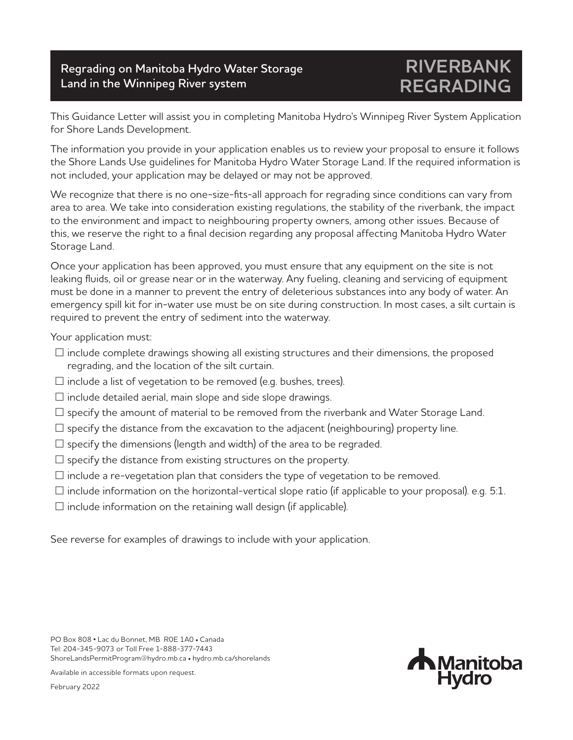## **Regrading on Manitoba Hydro Water Storage Land in the Winnipeg River system**

## **RIVERBANK REGRADING**

This Guidance Letter will assist you in completing Manitoba Hydro's Winnipeg River System Application for Shore Lands Development.

The information you provide in your application enables us to review your proposal to ensure it follows the Shore Lands Use guidelines for Manitoba Hydro Water Storage Land. If the required information is not included, your application may be delayed or may not be approved.

We recognize that there is no one-size-fits-all approach for regrading since conditions can vary from area to area. We take into consideration existing regulations, the stability of the riverbank, the impact to the environment and impact to neighbouring property owners, among other issues. Because of this, we reserve the right to a final decision regarding any proposal affecting Manitoba Hydro Water Storage Land.

Once your application has been approved, you must ensure that any equipment on the site is not leaking fluids, oil or grease near or in the waterway. Any fueling, cleaning and servicing of equipment must be done in a manner to prevent the entry of deleterious substances into any body of water. An emergency spill kit for in-water use must be on site during construction. In most cases, a silt curtain is required to prevent the entry of sediment into the waterway.

Your application must:

- $\square$  include complete drawings showing all existing structures and their dimensions, the proposed regrading, and the location of the silt curtain.
- $\square$  include a list of vegetation to be removed (e.g. bushes, trees).
- $\square$  include detailed aerial, main slope and side slope drawings.
- $\square$  specify the amount of material to be removed from the riverbank and Water Storage Land.
- $\square$  specify the distance from the excavation to the adjacent (neighbouring) property line.
- $\square$  specify the dimensions (length and width) of the area to be regraded.
- $\square$  specify the distance from existing structures on the property.
- $\square$  include a re-vegetation plan that considers the type of vegetation to be removed.
- $\Box$  include information on the horizontal-vertical slope ratio (if applicable to your proposal). e.g. 5:1.
- $\Box$  include information on the retaining wall design (if applicable).

See reverse for examples of drawings to include with your application.

PO Box 808 • Lac du Bonnet, MB R0E 1A0 • Canada Tel: 204-345-9073 or Toll Free 1-888-377-7443 ShoreLandsPermitProgram@hydro.mb.ca • hydro.mb.ca/shorelands

Available in accessible formats upon request.

February 2022